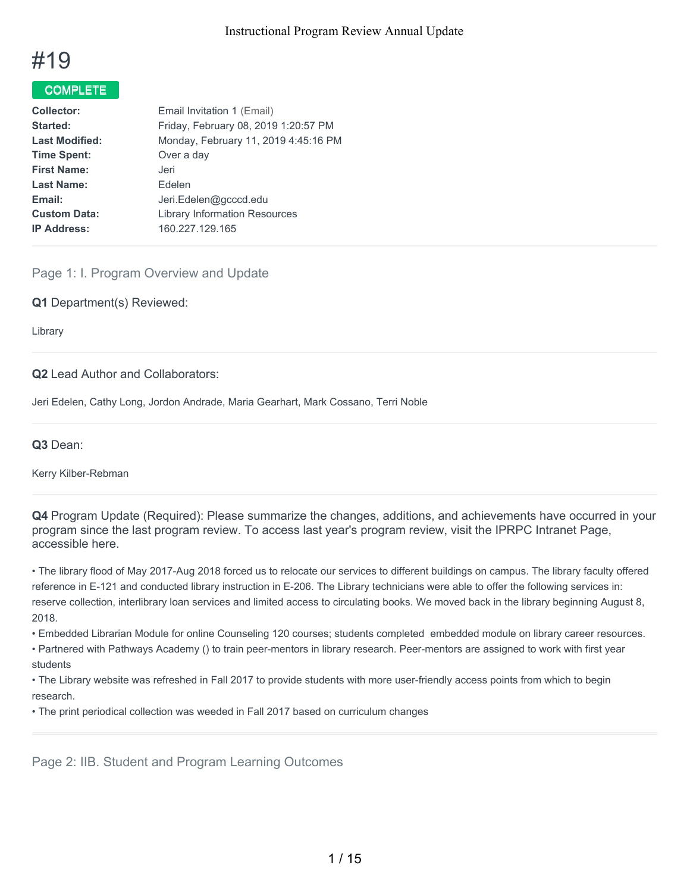

# COMPLETE

| Email Invitation 1 (Email)           |
|--------------------------------------|
| Friday, February 08, 2019 1:20:57 PM |
| Monday, February 11, 2019 4:45:16 PM |
| Over a day                           |
| Jeri                                 |
| Edelen                               |
| Jeri.Edelen@gcccd.edu                |
| <b>Library Information Resources</b> |
| 160.227.129.165                      |
|                                      |

# Page 1: I. Program Overview and Update

#### **Q1** Department(s) Reviewed:

Library

#### **Q2** Lead Author and Collaborators:

Jeri Edelen, Cathy Long, Jordon Andrade, Maria Gearhart, Mark Cossano, Terri Noble

**Q3** Dean:

Kerry Kilber-Rebman

**Q4** Program Update (Required): Please summarize the changes, additions, and achievements have occurred in your program since the last program review. To access last year's program review, visit the IPRPC Intranet Page, accessible here.

• The library flood of May 2017-Aug 2018 forced us to relocate our services to different buildings on campus. The library faculty offered reference in E-121 and conducted library instruction in E-206. The Library technicians were able to offer the following services in: reserve collection, interlibrary loan services and limited access to circulating books. We moved back in the library beginning August 8, 2018.

• Embedded Librarian Module for online Counseling 120 courses; students completed embedded module on library career resources.

• Partnered with Pathways Academy () to train peer-mentors in library research. Peer-mentors are assigned to work with first year students

• The Library website was refreshed in Fall 2017 to provide students with more user-friendly access points from which to begin research.

• The print periodical collection was weeded in Fall 2017 based on curriculum changes

Page 2: IIB. Student and Program Learning Outcomes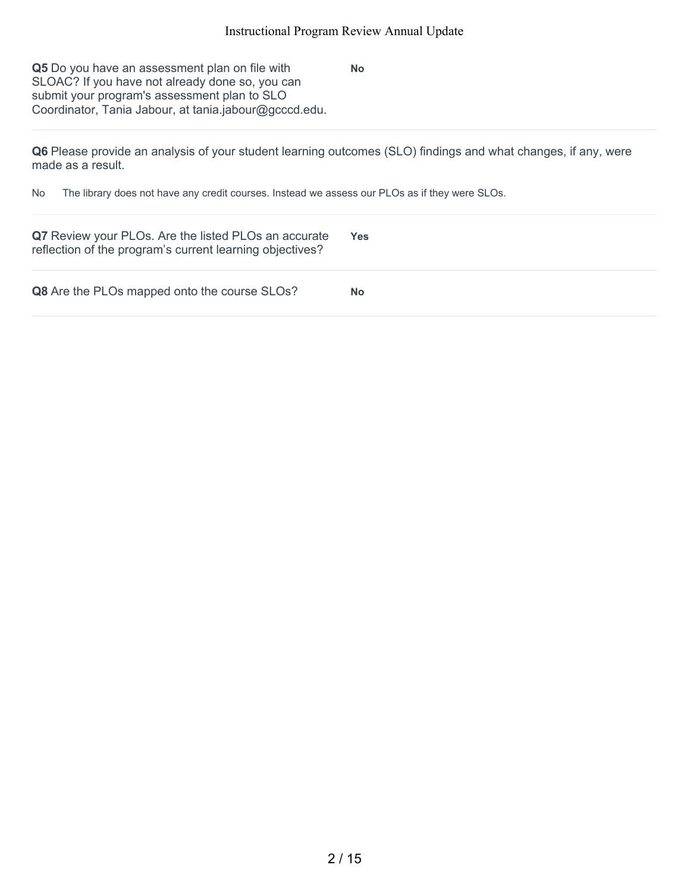**No**

**Q5** Do you have an assessment plan on file with SLOAC? If you have not already done so, you can submit your program's assessment plan to SLO Coordinator, Tania Jabour, at tania.jabour@gcccd.edu.

**Q6** Please provide an analysis of your student learning outcomes (SLO) findings and what changes, if any, were made as a result.

No The library does not have any credit courses. Instead we assess our PLOs as if they were SLOs.

| Q7 Review your PLOs. Are the listed PLOs an accurate<br>reflection of the program's current learning objectives? | <b>Yes</b> |
|------------------------------------------------------------------------------------------------------------------|------------|
| <b>Q8</b> Are the PLOs mapped onto the course SLOs?                                                              | No         |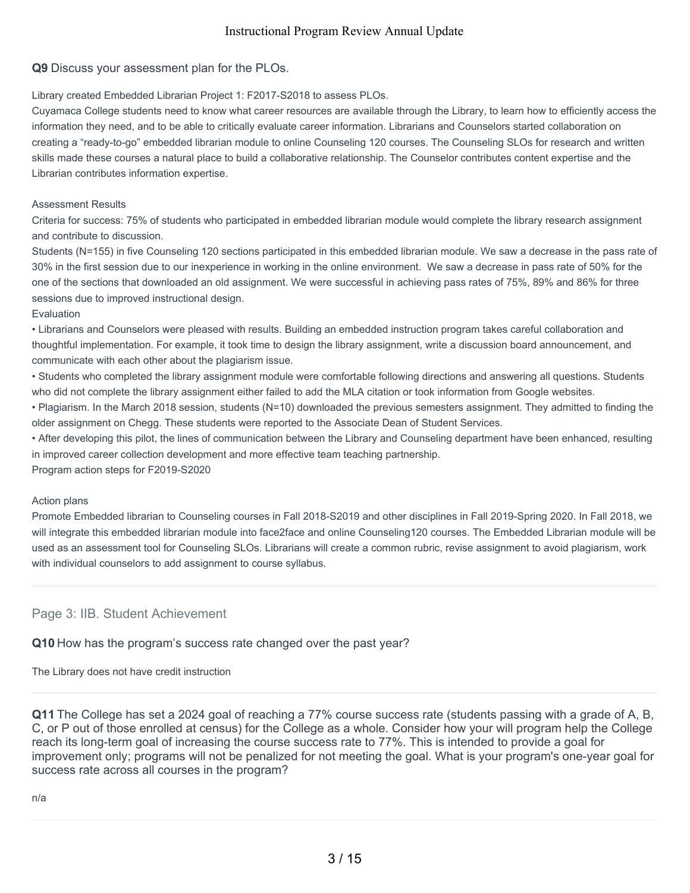# **Q9** Discuss your assessment plan for the PLOs.

#### Library created Embedded Librarian Project 1: F2017-S2018 to assess PLOs.

Cuyamaca College students need to know what career resources are available through the Library, to learn how to efficiently access the information they need, and to be able to critically evaluate career information. Librarians and Counselors started collaboration on creating a "ready-to-go" embedded librarian module to online Counseling 120 courses. The Counseling SLOs for research and written skills made these courses a natural place to build a collaborative relationship. The Counselor contributes content expertise and the Librarian contributes information expertise.

#### Assessment Results

Criteria for success: 75% of students who participated in embedded librarian module would complete the library research assignment and contribute to discussion.

Students (N=155) in five Counseling 120 sections participated in this embedded librarian module. We saw a decrease in the pass rate of 30% in the first session due to our inexperience in working in the online environment. We saw a decrease in pass rate of 50% for the one of the sections that downloaded an old assignment. We were successful in achieving pass rates of 75%, 89% and 86% for three sessions due to improved instructional design.

#### Evaluation

• Librarians and Counselors were pleased with results. Building an embedded instruction program takes careful collaboration and thoughtful implementation. For example, it took time to design the library assignment, write a discussion board announcement, and communicate with each other about the plagiarism issue.

• Students who completed the library assignment module were comfortable following directions and answering all questions. Students who did not complete the library assignment either failed to add the MLA citation or took information from Google websites.

• Plagiarism. In the March 2018 session, students (N=10) downloaded the previous semesters assignment. They admitted to finding the older assignment on Chegg. These students were reported to the Associate Dean of Student Services.

• After developing this pilot, the lines of communication between the Library and Counseling department have been enhanced, resulting in improved career collection development and more effective team teaching partnership.

Program action steps for F2019-S2020

#### Action plans

Promote Embedded librarian to Counseling courses in Fall 2018-S2019 and other disciplines in Fall 2019-Spring 2020. In Fall 2018, we will integrate this embedded librarian module into face2face and online Counseling120 courses. The Embedded Librarian module will be used as an assessment tool for Counseling SLOs. Librarians will create a common rubric, revise assignment to avoid plagiarism, work with individual counselors to add assignment to course syllabus.

Page 3: IIB. Student Achievement

**Q10** How has the program's success rate changed over the past year?

The Library does not have credit instruction

**Q11** The College has set a 2024 goal of reaching a 77% course success rate (students passing with a grade of A, B, C, or P out of those enrolled at census) for the College as a whole. Consider how your will program help the College reach its long-term goal of increasing the course success rate to 77%. This is intended to provide a goal for improvement only; programs will not be penalized for not meeting the goal. What is your program's one-year goal for success rate across all courses in the program?

n/a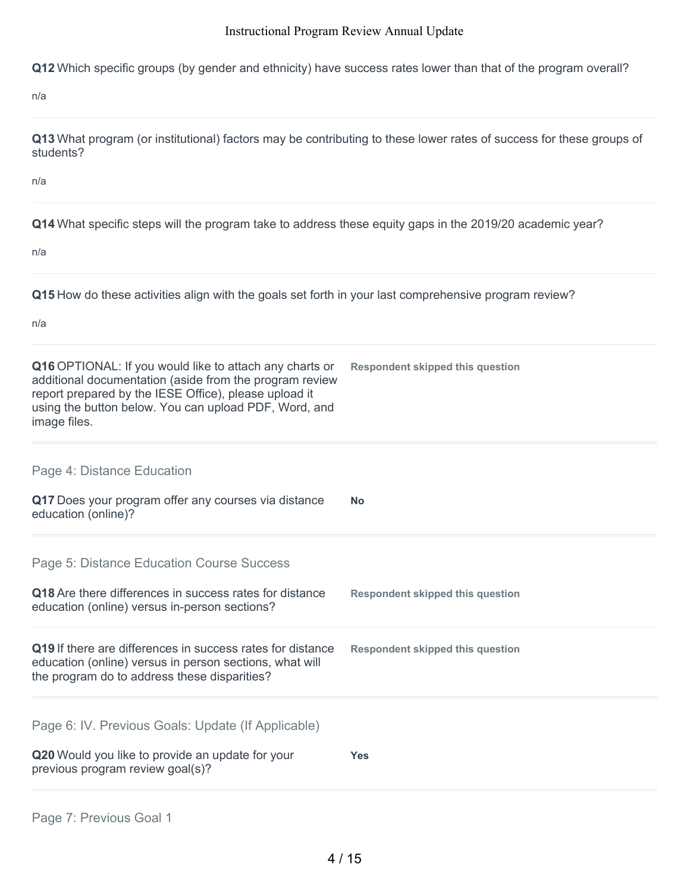**Q12** Which specific groups (by gender and ethnicity) have success rates lower than that of the program overall?

n/a

**Q13** What program (or institutional) factors may be contributing to these lower rates of success for these groups of students?

n/a

**Q14** What specific steps will the program take to address these equity gaps in the 2019/20 academic year?

n/a

**Q15** How do these activities align with the goals set forth in your last comprehensive program review?

n/a

| Q16 OPTIONAL: If you would like to attach any charts or<br>additional documentation (aside from the program review<br>report prepared by the IESE Office), please upload it<br>using the button below. You can upload PDF, Word, and<br>image files. | <b>Respondent skipped this question</b> |
|------------------------------------------------------------------------------------------------------------------------------------------------------------------------------------------------------------------------------------------------------|-----------------------------------------|
| Page 4: Distance Education                                                                                                                                                                                                                           |                                         |
| Q17 Does your program offer any courses via distance<br>education (online)?                                                                                                                                                                          | <b>No</b>                               |
| Page 5: Distance Education Course Success                                                                                                                                                                                                            |                                         |
| <b>Q18</b> Are there differences in success rates for distance<br>education (online) versus in-person sections?                                                                                                                                      | <b>Respondent skipped this question</b> |
| Q19 If there are differences in success rates for distance<br>education (online) versus in person sections, what will<br>the program do to address these disparities?                                                                                | <b>Respondent skipped this question</b> |
| Page 6: IV. Previous Goals: Update (If Applicable)                                                                                                                                                                                                   |                                         |
| Q20 Would you like to provide an update for your<br>previous program review goal(s)?                                                                                                                                                                 | <b>Yes</b>                              |
|                                                                                                                                                                                                                                                      |                                         |

Page 7: Previous Goal 1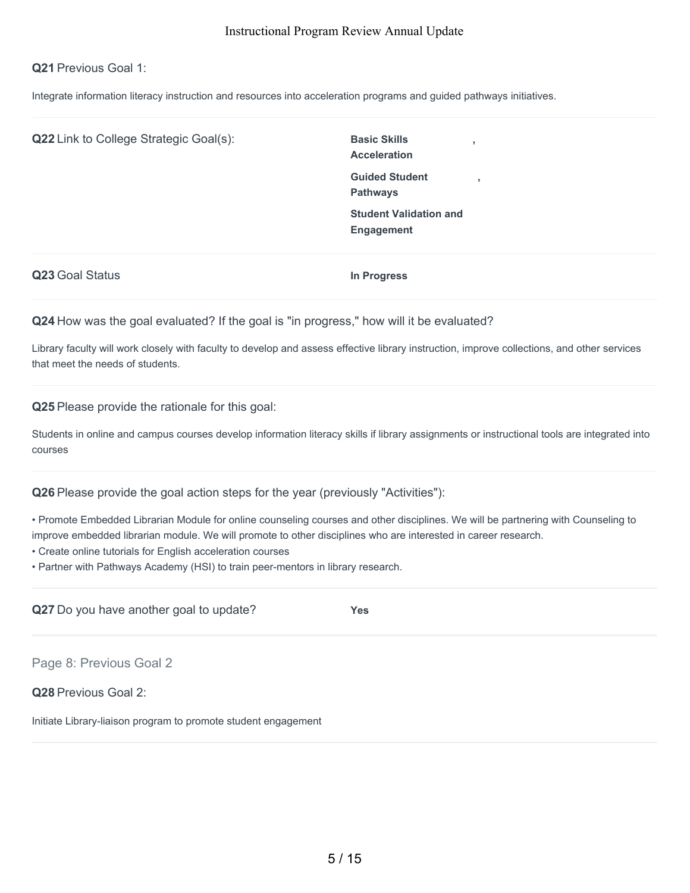### **Q21** Previous Goal 1:

Integrate information literacy instruction and resources into acceleration programs and guided pathways initiatives.

| Q22 Link to College Strategic Goal(s): | <b>Basic Skills</b><br>э.<br><b>Acceleration</b> |  |
|----------------------------------------|--------------------------------------------------|--|
|                                        | <b>Guided Student</b><br><b>Pathways</b>         |  |
|                                        | <b>Student Validation and</b>                    |  |
|                                        | <b>Engagement</b>                                |  |
|                                        |                                                  |  |
|                                        |                                                  |  |

**Q23** Goal Status **In Progress**

#### **Q24** How was the goal evaluated? If the goal is "in progress," how will it be evaluated?

Library faculty will work closely with faculty to develop and assess effective library instruction, improve collections, and other services that meet the needs of students.

#### **Q25** Please provide the rationale for this goal:

Students in online and campus courses develop information literacy skills if library assignments or instructional tools are integrated into courses

**Q26** Please provide the goal action steps for the year (previously "Activities"):

• Promote Embedded Librarian Module for online counseling courses and other disciplines. We will be partnering with Counseling to improve embedded librarian module. We will promote to other disciplines who are interested in career research.

- Create online tutorials for English acceleration courses
- Partner with Pathways Academy (HSI) to train peer-mentors in library research.

| Q27 Do you have another goal to update? | <b>Yes</b> |  |
|-----------------------------------------|------------|--|
|-----------------------------------------|------------|--|

Page 8: Previous Goal 2

**Q28** Previous Goal 2:

Initiate Library-liaison program to promote student engagement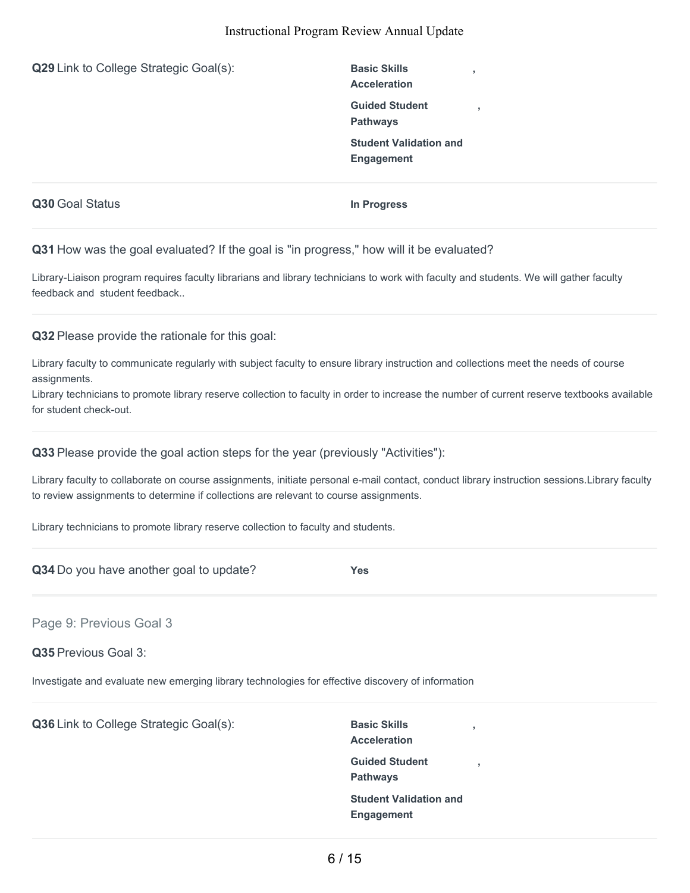**Q29** Link to College Strategic Goal(s): Basic Skills

**Acceleration Guided Student Pathways Student Validation and Engagement**

**,**

**,**

# **Q30** Goal Status **In Progress**

**Q31** How was the goal evaluated? If the goal is "in progress," how will it be evaluated?

Library-Liaison program requires faculty librarians and library technicians to work with faculty and students. We will gather faculty feedback and student feedback..

**Q32** Please provide the rationale for this goal:

Library faculty to communicate regularly with subject faculty to ensure library instruction and collections meet the needs of course assignments.

Library technicians to promote library reserve collection to faculty in order to increase the number of current reserve textbooks available for student check-out.

**Q33** Please provide the goal action steps for the year (previously "Activities"):

Library faculty to collaborate on course assignments, initiate personal e-mail contact, conduct library instruction sessions.Library faculty to review assignments to determine if collections are relevant to course assignments.

Library technicians to promote library reserve collection to faculty and students.

**Q34** Do you have another goal to update? **Yes**

Page 9: Previous Goal 3

**Q35** Previous Goal 3:

Investigate and evaluate new emerging library technologies for effective discovery of information

**Q36** Link to College Strategic Goal(s): Basic Skills

**Acceleration Guided Student Pathways Student Validation and Engagement**

**,**

**,**

6 / 15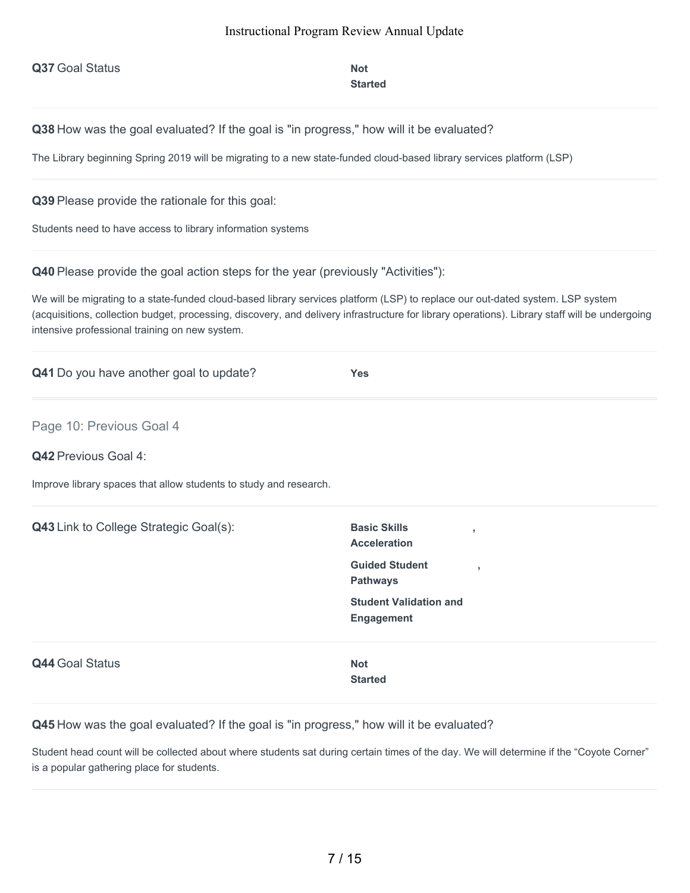**Q37** Goal Status **Not** 

# **Started**

**Q38** How was the goal evaluated? If the goal is "in progress," how will it be evaluated?

The Library beginning Spring 2019 will be migrating to a new state-funded cloud-based library services platform (LSP)

**Q39** Please provide the rationale for this goal:

Students need to have access to library information systems

**Q40** Please provide the goal action steps for the year (previously "Activities"):

We will be migrating to a state-funded cloud-based library services platform (LSP) to replace our out-dated system. LSP system (acquisitions, collection budget, processing, discovery, and delivery infrastructure for library operations). Library staff will be undergoing intensive professional training on new system.

| Q41 Do you have another goal to update?                           | <b>Yes</b>                                                                                                                 |
|-------------------------------------------------------------------|----------------------------------------------------------------------------------------------------------------------------|
| Page 10: Previous Goal 4                                          |                                                                                                                            |
| <b>Q42 Previous Goal 4:</b>                                       |                                                                                                                            |
| Improve library spaces that allow students to study and research. |                                                                                                                            |
| Q43 Link to College Strategic Goal(s):                            | <b>Basic Skills</b><br>$\overline{\phantom{a}}$<br><b>Acceleration</b><br><b>Guided Student</b><br>$\,$<br><b>Pathways</b> |
|                                                                   | <b>Student Validation and</b><br><b>Engagement</b>                                                                         |
| <b>Q44 Goal Status</b>                                            | <b>Not</b><br><b>Started</b>                                                                                               |

**Q45** How was the goal evaluated? If the goal is "in progress," how will it be evaluated?

Student head count will be collected about where students sat during certain times of the day. We will determine if the "Coyote Corner" is a popular gathering place for students.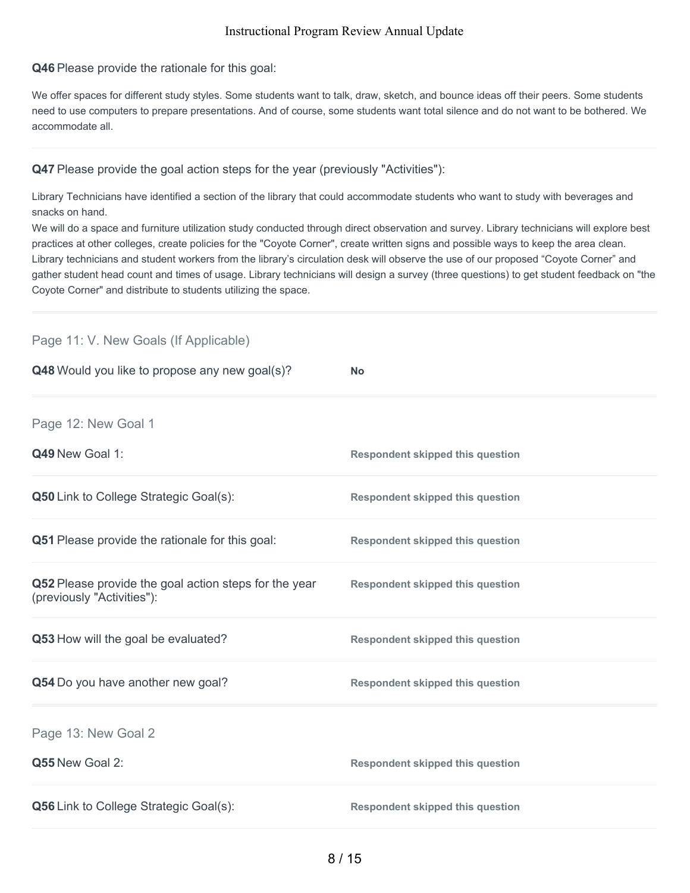#### **Q46** Please provide the rationale for this goal:

We offer spaces for different study styles. Some students want to talk, draw, sketch, and bounce ideas off their peers. Some students need to use computers to prepare presentations. And of course, some students want total silence and do not want to be bothered. We accommodate all.

#### **Q47** Please provide the goal action steps for the year (previously "Activities"):

Library Technicians have identified a section of the library that could accommodate students who want to study with beverages and snacks on hand.

We will do a space and furniture utilization study conducted through direct observation and survey. Library technicians will explore best practices at other colleges, create policies for the "Coyote Corner", create written signs and possible ways to keep the area clean. Library technicians and student workers from the library's circulation desk will observe the use of our proposed "Coyote Corner" and gather student head count and times of usage. Library technicians will design a survey (three questions) to get student feedback on "the Coyote Corner" and distribute to students utilizing the space.

# **Q48** Would you like to propose any new goal(s)? **No Q49** New Goal 1: **Respondent skipped this question Q50** Link to College Strategic Goal(s): **Respondent skipped this question Q51** Please provide the rationale for this goal: **Respondent skipped this question Q52** Please provide the goal action steps for the year (previously "Activities"): **Respondent skipped this question Q53** How will the goal be evaluated? **Respondent skipped this question Q54** Do you have another new goal? **Respondent** skipped this question **Q55** New Goal 2: **Respondent skipped this question Q56** Link to College Strategic Goal(s): **Respondent skipped this question** Page 11: V. New Goals (If Applicable) Page 12: New Goal 1 Page 13: New Goal 2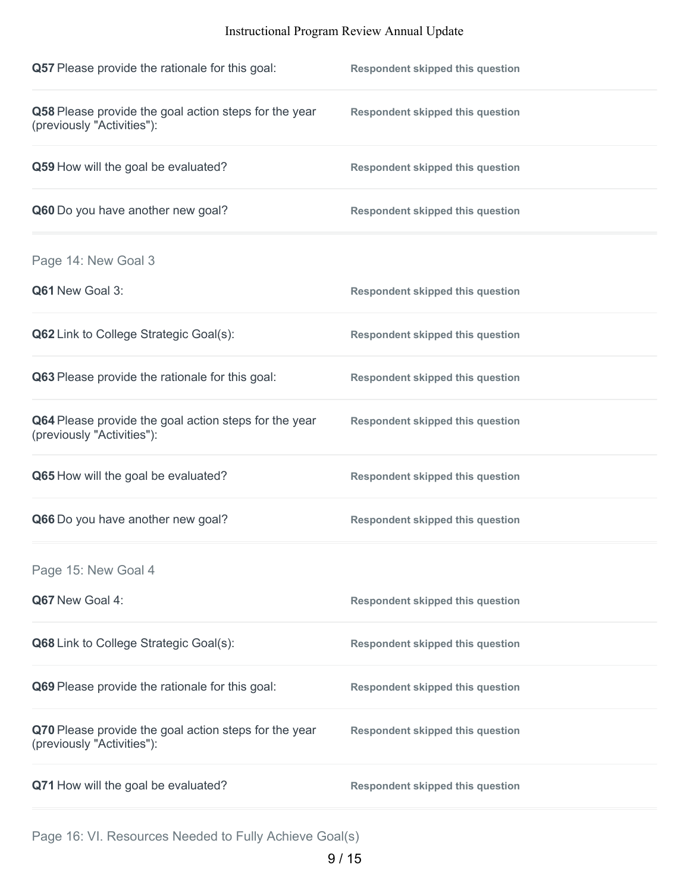| Q57 Please provide the rationale for this goal:                                     | <b>Respondent skipped this question</b> |
|-------------------------------------------------------------------------------------|-----------------------------------------|
| Q58 Please provide the goal action steps for the year<br>(previously "Activities"): | <b>Respondent skipped this question</b> |
| Q59 How will the goal be evaluated?                                                 | <b>Respondent skipped this question</b> |
| Q60 Do you have another new goal?                                                   | <b>Respondent skipped this question</b> |
| Page 14: New Goal 3                                                                 |                                         |
| Q61 New Goal 3:                                                                     | <b>Respondent skipped this question</b> |
| <b>Q62</b> Link to College Strategic Goal(s):                                       | <b>Respondent skipped this question</b> |
| Q63 Please provide the rationale for this goal:                                     | <b>Respondent skipped this question</b> |
| Q64 Please provide the goal action steps for the year<br>(previously "Activities"): | <b>Respondent skipped this question</b> |
| Q65 How will the goal be evaluated?                                                 | <b>Respondent skipped this question</b> |
| Q66 Do you have another new goal?                                                   | <b>Respondent skipped this question</b> |
| Page 15: New Goal 4                                                                 |                                         |
| Q67 New Goal 4:                                                                     | <b>Respondent skipped this question</b> |
| Q68 Link to College Strategic Goal(s):                                              | <b>Respondent skipped this question</b> |
| Q69 Please provide the rationale for this goal:                                     | <b>Respondent skipped this question</b> |
| Q70 Please provide the goal action steps for the year<br>(previously "Activities"): | <b>Respondent skipped this question</b> |
| Q71 How will the goal be evaluated?                                                 | <b>Respondent skipped this question</b> |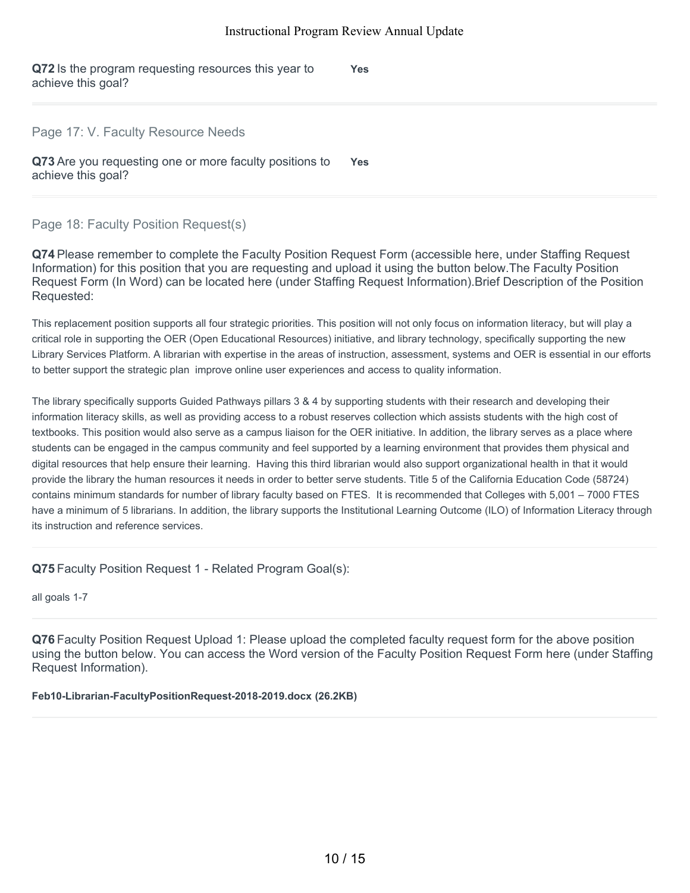**Q72** Is the program requesting resources this year to achieve this goal? **Yes**

Page 17: V. Faculty Resource Needs

**Q73** Are you requesting one or more faculty positions to achieve this goal? **Yes**

# Page 18: Faculty Position Request(s)

**Q74** Please remember to complete the Faculty Position Request Form (accessible here, under Staffing Request Information) for this position that you are requesting and upload it using the button below.The Faculty Position Request Form (In Word) can be located here (under Staffing Request Information).Brief Description of the Position Requested:

This replacement position supports all four strategic priorities. This position will not only focus on information literacy, but will play a critical role in supporting the OER (Open Educational Resources) initiative, and library technology, specifically supporting the new Library Services Platform. A librarian with expertise in the areas of instruction, assessment, systems and OER is essential in our efforts to better support the strategic plan improve online user experiences and access to quality information.

The library specifically supports Guided Pathways pillars 3 & 4 by supporting students with their research and developing their information literacy skills, as well as providing access to a robust reserves collection which assists students with the high cost of textbooks. This position would also serve as a campus liaison for the OER initiative. In addition, the library serves as a place where students can be engaged in the campus community and feel supported by a learning environment that provides them physical and digital resources that help ensure their learning. Having this third librarian would also support organizational health in that it would provide the library the human resources it needs in order to better serve students. Title 5 of the California Education Code (58724) contains minimum standards for number of library faculty based on FTES. It is recommended that Colleges with 5,001 – 7000 FTES have a minimum of 5 librarians. In addition, the library supports the Institutional Learning Outcome (ILO) of Information Literacy through its instruction and reference services.

**Q75** Faculty Position Request 1 - Related Program Goal(s):

all goals 1-7

**Q76** Faculty Position Request Upload 1: Please upload the completed faculty request form for the above position using the button below. You can access the Word version of the Faculty Position Request Form here (under Staffing Request Information).

**Feb10-Librarian-FacultyPositionRequest-2018-2019.docx (26.2KB)**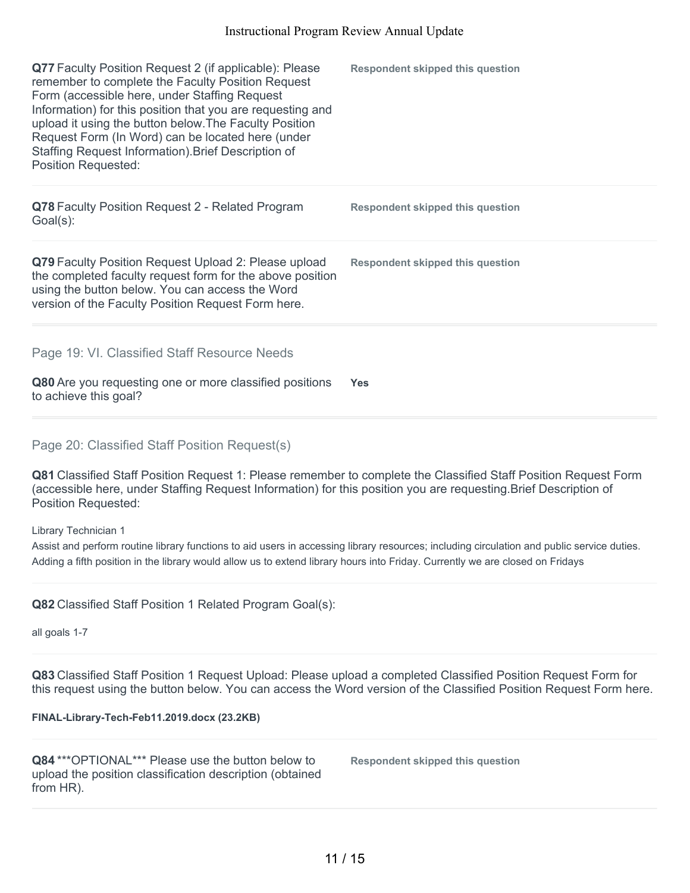| Q77 Faculty Position Request 2 (if applicable): Please<br>remember to complete the Faculty Position Request<br>Form (accessible here, under Staffing Request<br>Information) for this position that you are requesting and<br>upload it using the button below. The Faculty Position<br>Request Form (In Word) can be located here (under<br>Staffing Request Information). Brief Description of<br><b>Position Requested:</b> | <b>Respondent skipped this question</b> |
|--------------------------------------------------------------------------------------------------------------------------------------------------------------------------------------------------------------------------------------------------------------------------------------------------------------------------------------------------------------------------------------------------------------------------------|-----------------------------------------|
| Q78 Faculty Position Request 2 - Related Program<br>$Goal(s)$ :                                                                                                                                                                                                                                                                                                                                                                | <b>Respondent skipped this question</b> |
| Q79 Faculty Position Request Upload 2: Please upload<br>the completed faculty request form for the above position<br>using the button below. You can access the Word<br>version of the Faculty Position Request Form here.                                                                                                                                                                                                     | <b>Respondent skipped this question</b> |
| Page 19: VI. Classified Staff Resource Needs<br>Q80 Are you requesting one or more classified positions                                                                                                                                                                                                                                                                                                                        | Yes                                     |

Page 20: Classified Staff Position Request(s)

**Q81** Classified Staff Position Request 1: Please remember to complete the Classified Staff Position Request Form (accessible here, under Staffing Request Information) for this position you are requesting.Brief Description of Position Requested:

Library Technician 1

to achieve this goal?

Assist and perform routine library functions to aid users in accessing library resources; including circulation and public service duties. Adding a fifth position in the library would allow us to extend library hours into Friday. Currently we are closed on Fridays

**Q82** Classified Staff Position 1 Related Program Goal(s):

all goals 1-7

**Q83** Classified Staff Position 1 Request Upload: Please upload a completed Classified Position Request Form for this request using the button below. You can access the Word version of the Classified Position Request Form here.

#### **FINAL-Library-Tech-Feb11.2019.docx (23.2KB)**

**Q84** \*\*\*OPTIONAL\*\*\* Please use the button below to upload the position classification description (obtained from HR).

**Respondent skipped this question**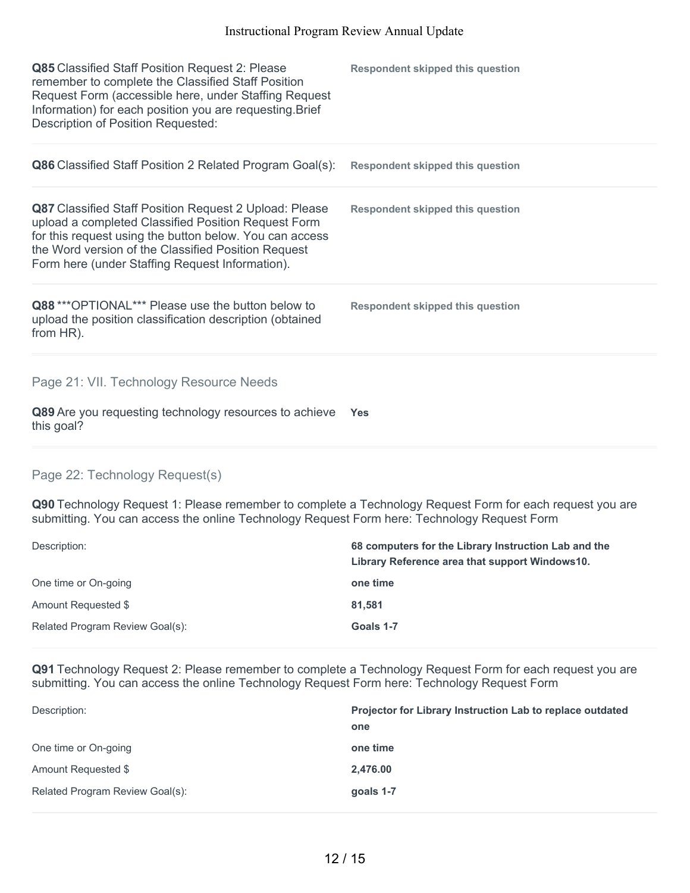| <b>Q85</b> Classified Staff Position Request 2: Please<br>remember to complete the Classified Staff Position<br>Request Form (accessible here, under Staffing Request<br>Information) for each position you are requesting. Brief<br>Description of Position Requested:                   | <b>Respondent skipped this question</b> |
|-------------------------------------------------------------------------------------------------------------------------------------------------------------------------------------------------------------------------------------------------------------------------------------------|-----------------------------------------|
| <b>Q86</b> Classified Staff Position 2 Related Program Goal(s):                                                                                                                                                                                                                           | <b>Respondent skipped this question</b> |
| <b>Q87</b> Classified Staff Position Request 2 Upload: Please<br>upload a completed Classified Position Request Form<br>for this request using the button below. You can access<br>the Word version of the Classified Position Request<br>Form here (under Staffing Request Information). | <b>Respondent skipped this question</b> |
| Q88 *** OPTIONAL*** Please use the button below to<br>upload the position classification description (obtained<br>from HR).                                                                                                                                                               | Respondent skipped this question        |
| Page 21: VII. Technology Resource Needs                                                                                                                                                                                                                                                   |                                         |
| Q89 Are you requesting technology resources to achieve<br>this goal?                                                                                                                                                                                                                      | <b>Yes</b>                              |

# Page 22: Technology Request(s)

**Q90** Technology Request 1: Please remember to complete a Technology Request Form for each request you are submitting. You can access the online Technology Request Form here: Technology Request Form

| Description:                    | 68 computers for the Library Instruction Lab and the<br>Library Reference area that support Windows 10. |
|---------------------------------|---------------------------------------------------------------------------------------------------------|
| One time or On-going            | one time                                                                                                |
| Amount Requested \$             | 81.581                                                                                                  |
| Related Program Review Goal(s): | Goals 1-7                                                                                               |

**Q91** Technology Request 2: Please remember to complete a Technology Request Form for each request you are submitting. You can access the online Technology Request Form here: Technology Request Form

| Description:                    | Projector for Library Instruction Lab to replace outdated<br>one |
|---------------------------------|------------------------------------------------------------------|
| One time or On-going            | one time                                                         |
| Amount Requested \$             | 2,476.00                                                         |
| Related Program Review Goal(s): | goals 1-7                                                        |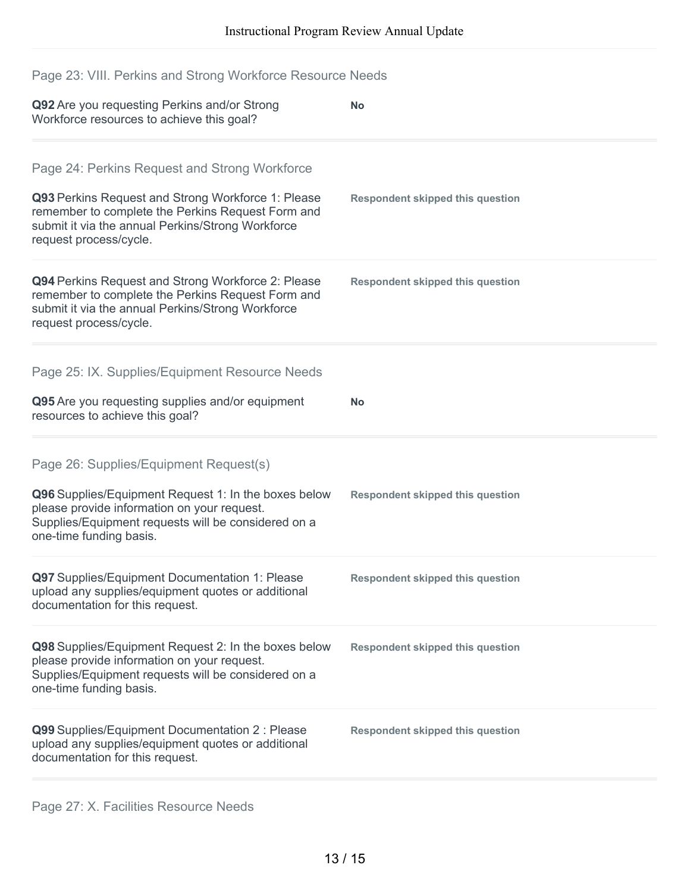| Page 23: VIII. Perkins and Strong Workforce Resource Needs                                                                                                                                                                              |                                         |
|-----------------------------------------------------------------------------------------------------------------------------------------------------------------------------------------------------------------------------------------|-----------------------------------------|
| Q92 Are you requesting Perkins and/or Strong<br>Workforce resources to achieve this goal?                                                                                                                                               | <b>No</b>                               |
| Page 24: Perkins Request and Strong Workforce<br>Q93 Perkins Request and Strong Workforce 1: Please<br>remember to complete the Perkins Request Form and<br>submit it via the annual Perkins/Strong Workforce<br>request process/cycle. | <b>Respondent skipped this question</b> |
| Q94 Perkins Request and Strong Workforce 2: Please<br>remember to complete the Perkins Request Form and<br>submit it via the annual Perkins/Strong Workforce<br>request process/cycle.                                                  | <b>Respondent skipped this question</b> |
| Page 25: IX. Supplies/Equipment Resource Needs<br>Q95 Are you requesting supplies and/or equipment<br>resources to achieve this goal?                                                                                                   | <b>No</b>                               |
| Page 26: Supplies/Equipment Request(s)<br>Q96 Supplies/Equipment Request 1: In the boxes below<br>please provide information on your request.<br>Supplies/Equipment requests will be considered on a<br>one-time funding basis.         | <b>Respondent skipped this question</b> |
| Q97 Supplies/Equipment Documentation 1: Please<br>upload any supplies/equipment quotes or additional<br>documentation for this request.                                                                                                 | <b>Respondent skipped this question</b> |
| Q98 Supplies/Equipment Request 2: In the boxes below<br>please provide information on your request.<br>Supplies/Equipment requests will be considered on a<br>one-time funding basis.                                                   | <b>Respondent skipped this question</b> |
| Q99 Supplies/Equipment Documentation 2 : Please<br>upload any supplies/equipment quotes or additional<br>documentation for this request.                                                                                                | <b>Respondent skipped this question</b> |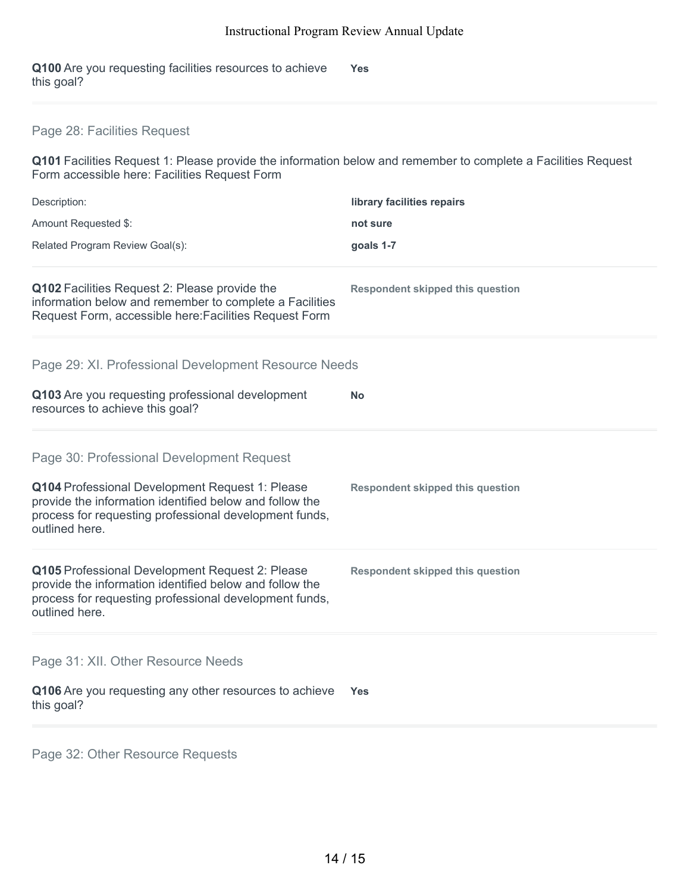**Q100** Are you requesting facilities resources to achieve this goal? **Yes**

# Page 28: Facilities Request

**Q101** Facilities Request 1: Please provide the information below and remember to complete a Facilities Request Form accessible here: Facilities Request Form

| Description:                                                                                                                                                                           | library facilities repairs              |
|----------------------------------------------------------------------------------------------------------------------------------------------------------------------------------------|-----------------------------------------|
| Amount Requested \$:                                                                                                                                                                   | not sure                                |
| Related Program Review Goal(s):                                                                                                                                                        | goals 1-7                               |
| Q102 Facilities Request 2: Please provide the<br>information below and remember to complete a Facilities<br>Request Form, accessible here: Facilities Request Form                     | <b>Respondent skipped this question</b> |
| Page 29: XI. Professional Development Resource Needs                                                                                                                                   |                                         |
| Q103 Are you requesting professional development<br>resources to achieve this goal?                                                                                                    | <b>No</b>                               |
| Page 30: Professional Development Request                                                                                                                                              |                                         |
| Q104 Professional Development Request 1: Please<br>provide the information identified below and follow the<br>process for requesting professional development funds,<br>outlined here. | <b>Respondent skipped this question</b> |
| Q105 Professional Development Request 2: Please<br>provide the information identified below and follow the<br>process for requesting professional development funds,<br>outlined here. | <b>Respondent skipped this question</b> |
| Page 31: XII. Other Resource Needs                                                                                                                                                     |                                         |
| Q106 Are you requesting any other resources to achieve<br>this goal?                                                                                                                   | Yes                                     |

Page 32: Other Resource Requests